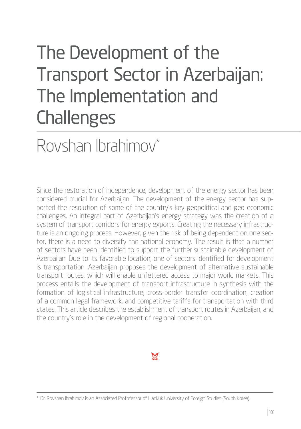# The Development of the Transport Sector in Azerbaijan: The Implementation and **Challenges**

# Rovshan Ibrahimov\*

Since the restoration of independence, development of the energy sector has been considered crucial for Azerbaijan. The development of the energy sector has supported the resolution of some of the country's key geopolitical and geo-economic challenges. An integral part of Azerbaijan's energy strategy was the creation of a system of transport corridors for energy exports. Creating the necessary infrastructure is an ongoing process. However, given the risk of being dependent on one sector, there is a need to diversify the national economy. The result is that a number of sectors have been identified to support the further sustainable development of Azerbaijan. Due to its favorable location, one of sectors identified for development is transportation. Azerbaijan proposes the development of alternative sustainable transport routes, which will enable unfettered access to major world markets. This process entails the development of transport infrastructure in synthesis with the formation of logistical infrastructure, cross-border transfer coordination, creation of a common legal framework, and competitive tariffs for transportation with third states. This article describes the establishment of transport routes in Azerbaijan, and the country's role in the development of regional cooperation.



<sup>\*</sup> Dr. Rovshan Ibrahimov is an Associated Profofessor of Hankuk University of Foreign Studies (South Korea).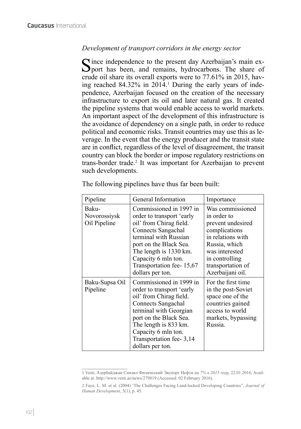# *Development of transport corridors in the energy sector*

 $\Gamma$  ince independence to the present day Azerbaijan's main ex-**P**port has been, and remains, hydrocarbons. The share of crude oil share its overall exports were to 77.61% in 2015, having reached  $84.32\%$  in  $2014<sup>1</sup>$  During the early years of independence, Azerbaijan focused on the creation of the necessary infrastructure to export its oil and later natural gas. It created the pipeline systems that would enable access to world markets. An important aspect of the development of this infrastructure is the avoidance of dependency on a single path, in order to reduce political and economic risks. Transit countries may use this as leverage. In the event that the energy producer and the transit state are in conflict, regardless of the level of disagreement, the transit country can block the border or impose regulatory restrictions on trans-border trade.<sup>2</sup> It was important for Azerbaijan to prevent such developments.

| Pipeline                              | General Information                                                                                                                                                                                                                                       | Importance                                                                                                                                                                               |
|---------------------------------------|-----------------------------------------------------------------------------------------------------------------------------------------------------------------------------------------------------------------------------------------------------------|------------------------------------------------------------------------------------------------------------------------------------------------------------------------------------------|
| Baku-<br>Novorossiysk<br>Oil Pipeline | Commissioned in 1997 in<br>order to transport 'early<br>oil' from Chirag field.<br>Connects Sangachal<br>terminal with Russian<br>port on the Black Sea.<br>The length is 1330 km.<br>Capacity 6 mln ton.<br>Transportation fee-15,67<br>dollars per ton. | Was commissioned<br>in order to<br>prevent undesired<br>complications<br>in relations with<br>Russia, which<br>was interested<br>in controlling<br>transportation of<br>Azerbaijani oil. |
| Baku-Supsa Oil<br>Pipeline            | Commissioned in 1999 in<br>order to transport 'early<br>oil' from Chirag field.<br>Connects Sangachal<br>terminal with Georgian<br>port on the Black Sea.<br>The length is 833 km.<br>Capacity 6 mln ton.<br>Transportation fee-3,14<br>dollars per ton.  | For the first time<br>in the post-Soviet<br>space one of the<br>countries gained<br>access to world<br>markets, bypassing<br>Russia.                                                     |

The following pipelines have thus far been built:

<sup>1</sup> Vesti, Азербайджан Снизил Физический Экспорт Нефти на *7% в 2015* году, 22.01.2016, Available at: http://www.vesti.az/news/279819 (Accessed: 02 February 2016).

<sup>2</sup> Faye, L. M. et al. (2004) 'The Challenges Facing Land-locked Developing Countries", *Journal of Human Development*, 5(1), p. 45.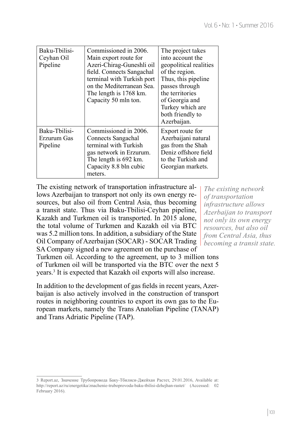*The existing network of transportation infrastructure allows Azerbaijan to transport not only its own energy resources, but also oil from Central Asia, thus becoming a transit state.* 

| Baku-Thilisi-<br>Ceyhan Oil<br>Pipeline  | Commissioned in 2006.<br>Main export route for<br>Azeri-Chirag-Guneshli oil<br>field. Connects Sangachal<br>terminal with Turkish port<br>on the Mediterranean Sea.<br>The length is 1768 km.<br>Capacity 50 mln ton. | The project takes<br>into account the<br>geopolitical realities<br>of the region.<br>Thus, this pipeline<br>passes through<br>the territories<br>of Georgia and<br>Turkey which are<br>both friendly to<br>Azerbaijan. |
|------------------------------------------|-----------------------------------------------------------------------------------------------------------------------------------------------------------------------------------------------------------------------|------------------------------------------------------------------------------------------------------------------------------------------------------------------------------------------------------------------------|
| Baku-Tbilisi-<br>Erzurum Gas<br>Pipeline | Commissioned in 2006.<br>Connects Sangachal<br>terminal with Turkish<br>gas network in Erzurum.<br>The length is 692 km.<br>Capacity 8.8 bln cubic<br>meters.                                                         | Export route for<br>Azerbaijani natural<br>gas from the Shah<br>Deniz offshore field<br>to the Turkish and<br>Georgian markets.                                                                                        |

The existing network of transportation infrastructure allows Azerbaijan to transport not only its own energy resources, but also oil from Central Asia, thus becoming a transit state. Thus via Baku-Tbilisi-Ceyhan pipeline, Kazakh and Turkmen oil is transported. In 2015 alone, the total volume of Turkmen and Kazakh oil via BTC was 5.2 million tons. In addition, a subsidiary of the State Oil Company of Azerbaijan (SOCAR) - SOCAR Trading SA Company signed a new agreement on the purchase of

Turkmen oil. According to the agreement, up to 3 million tons of Turkmen oil will be transported via the BTC over the next 5 years.<sup>3</sup> It is expected that Kazakh oil exports will also increase.

In addition to the development of gas fields in recent years, Azerbaijan is also actively involved in the construction of transport routes in neighboring countries to export its own gas to the European markets, namely the Trans Anatolian Pipeline (TANAP) and Trans Adriatic Pipeline (TAP).

<sup>3</sup> Report.az, Значение Трубопровода Баку*-*Тбилиси*-*Джейхан Растет, 29.01.2016, Available at: <http://report.az/ru/energetika/znachenie-truboprovoda-baku-tbilisi-dzhejhan-rastet/> (Accessed: 02 February 2016).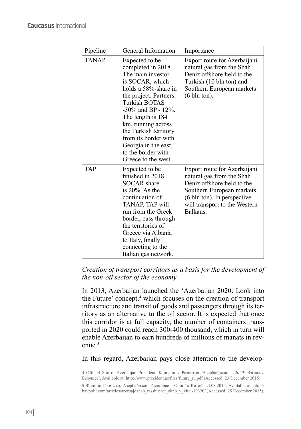| Pipeline     | General Information                                                                                                                                                                                                                                                                                                                        | Importance                                                                                                                                                                                        |
|--------------|--------------------------------------------------------------------------------------------------------------------------------------------------------------------------------------------------------------------------------------------------------------------------------------------------------------------------------------------|---------------------------------------------------------------------------------------------------------------------------------------------------------------------------------------------------|
| <b>TANAP</b> | Expected to be<br>completed in 2018.<br>The main investor<br>is SOCAR, which<br>holds a 58%-share in<br>the project. Partners:<br>Turkish BOTAŞ<br>$-30\%$ and BP - 12%.<br>The length is 1841<br>km, running across<br>the Turkish territory<br>from its border with<br>Georgia in the east,<br>to the border with<br>Greece to the west. | Export route for Azerbaijani<br>natural gas from the Shah<br>Deniz offshore field to the<br>Turkish (10 bln ton) and<br>Southern European markets<br>$(6 \text{ bh} \cdot \text{ton}).$           |
| <b>TAP</b>   | Expected to be<br>finished in 2018.<br><b>SOCAR</b> share<br>is $20\%$ . As the<br>continuation of<br>TANAP, TAP will<br>run from the Greek<br>border, pass through<br>the territories of<br>Greece via Albania<br>to Italy, finally<br>connecting to the<br>Italian gas network.                                                          | Export route for Azerbaijani<br>natural gas from the Shah<br>Deniz offshore field to the<br>Southern European markets<br>(6 bln ton). In perspective<br>will transport to the Western<br>Balkans. |

*Creation of transport corridors as a basis for the development of the non-oil sector of the economy*

In 2013, Azerbaijan launched the 'Azerbaijan 2020: Look into the Future' concept,<sup>4</sup> which focuses on the creation of transport infrastructure and transit of goods and passengers through its territory as an alternative to the oil sector. It is expected that once this corridor is at full capacity, the number of containers transported in 2020 could reach 300-400 thousand, which in turn will enable Azerbaijan to earn hundreds of millions of manats in revenue.<sup>5</sup>

In this regard, Azerbaijan pays close attention to the develop-

<sup>4</sup> Official Site of Azerbaijan Prezident, Концепция Развития *'*Азербайджан *– 2020:* Взгляд *в*  Будущее*'*, Available at: [http://www.president.az/files/future\\_ru.pdf](http://www.president.az/files/future_ru.pdf) (Accessed: 23 December 2015).

<sup>5</sup> Филипп Громыко, Азербайджан Расширяет *'*Окно*' в* Китай, 24.08.2015, Available at: http:// kavpolit.com/articles/azerbajdzhan\_rasshirjaet\_okno\_v\_kitaj-19320/ (Accessed: 25 December 2015).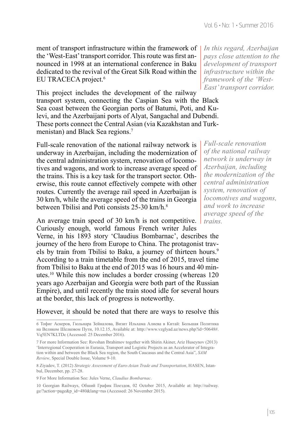ment of transport infrastructure within the framework of the 'West-East' transport corridor. This route was first announced in 1998 at an international conference in Baku dedicated to the revival of the Great Silk Road within the EU TRACECA project.<sup>6</sup>

This project includes the development of the railway transport system, connecting the Caspian Sea with the Black Sea coast between the Georgian ports of Batumi, Poti, and Kulevi, and the Azerbaijani ports of Alyat, Sangachal and Dubendi. These ports connect the Central Asian (via Kazakhstan and Turkmenistan) and Black Sea regions.<sup>7</sup>

Full-scale renovation of the national railway network is underway in Azerbaijan, including the modernization of the central administration system, renovation of locomotives and wagons, and work to increase average speed of the trains. This is a key task for the transport sector. Otherwise, this route cannot effectively compete with other routes. Currently the average rail speed in Azerbaijan is 30 km/h, while the average speed of the trains in Georgia between Tbilisi and Poti consists 25-30 km/h.8

An average train speed of 30 km/h is not competitive. Curiously enough, world famous French writer Jules

Verne, in his 1893 story 'Claudius Bombarnac', describes the journey of the hero from Europe to China. The protagonist travels by train from Tbilisi to Baku, a journey of thirteen hours.<sup>9</sup> According to a train timetable from the end of 2015, travel time from Tbilisi to Baku at the end of 2015 was 16 hours and 40 minutes.10 While this now includes a border crossing (whereas 120 years ago Azerbaijan and Georgia were both part of the Russian Empire), and until recently the train stood idle for several hours at the border, this lack of progress is noteworthy.

# However, it should be noted that there are ways to resolve this

9 For More Information See: Jules Verne, *Claudius Bombarnac*.

*In this regard, Azerbaijan pays close attention to the development of transport infrastructure within the framework of the 'West-East' transport corridor.* 

*Full-scale renovation of the national railway network is underway in Azerbaijan, including the modernization of the central administration system, renovation of locomotives and wagons, and work to increase average speed of the trains.* 

<sup>6</sup> Тофиг Аскеров, Гюльнара Зейналова, Визит Ильхама Алиева в Китай: Большая Политика на Великом Шелковом Пути, 10.12.15, Available at: http://www.vzglyad.az/news.php?id=50648#. Vq5EN7KLTDc (Accessed: 25 December 2016).

<sup>7</sup> For more Information See: Rovshan Ibrahimov together with Shirin Akiner, Ariz Huseynov (2013) 'Interregional Cooperation in Eurasia, Transport and Logistic Projects as an Accelerator of Integration within and between the Black Sea region, the South Caucasus and the Central Asia", *SAM Review*, Special Double Issue, Volume 9-10.

<sup>8</sup> Ziyadov, T. (2012) *Strategic Assessment of Euro-Asian Trade and Transportation*, HASEN, Istanbul, December, pp. 27-28.

<sup>10</sup> Georgian Railways, Обший График Поездов, 02 October 2015, Available at: [http://railway.](http://railway.ge/?action=page&p_id=480&lang=rus) [ge/?action=page&p\\_id=480&lang=rus](http://railway.ge/?action=page&p_id=480&lang=rus) (Accessed: 26 November 2015).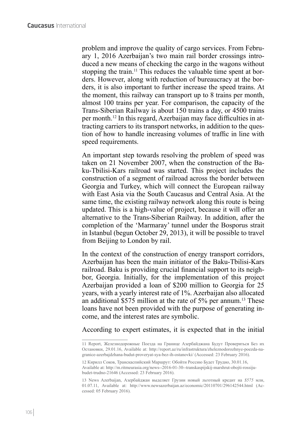problem and improve the quality of cargo services. From February 1, 2016 Azerbaijan's two main rail border crossings introduced a new means of checking the cargo in the wagons without stopping the train.<sup>11</sup> This reduces the valuable time spent at borders. However, along with reduction of bureaucracy at the borders, it is also important to further increase the speed trains. At the moment, this railway can transport up to 8 trains per month, almost 100 trains per year. For comparison, the capacity of the Trans-Siberian Railway is about 150 trains a day, or 4500 trains per month.12 In this regard, Azerbaijan may face difficulties in attracting carriers to its transport networks, in addition to the question of how to handle increasing volumes of traffic in line with speed requirements.

An important step towards resolving the problem of speed was taken on 21 November 2007, when the construction of the Baku-Tbilisi-Kars railroad was started. This project includes the construction of a segment of railroad across the border between Georgia and Turkey, which will connect the European railway with East Asia via the South Caucasus and Central Asia. At the same time, the existing railway network along this route is being updated. This is a high-value of project, because it will offer an alternative to the Trans-Siberian Railway. In addition, after the completion of the 'Marmaray' tunnel under the Bosporus strait in Istanbul (begun October 29, 2013), it will be possible to travel from Beijing to London by rail.

In the context of the construction of energy transport corridors, Azerbaijan has been the main initiator of the Baku-Tbilisi-Kars railroad. Baku is providing crucial financial support to its neighbor, Georgia. Initially, for the implementation of this project Azerbaijan provided a loan of \$200 million to Georgia for 25 years, with a yearly interest rate of 1%. Azerbaijan also allocated an additional \$575 million at the rate of 5% per annum.13 These loans have not been provided with the purpose of generating income, and the interest rates are symbolic.

According to expert estimates, it is expected that in the initial

<sup>11</sup> Report, Железнодорожные Поезда на Границе Азербайджана Будут Проверяться Без их Остановки, 29.01.16, Available at: http://[report.az/ru/infrastruktura/zheleznodorozhnye-poezda-na](http://report.az/ru/infrastruktura/zheleznodorozhnye-poezda-na-granice-azerbajdzhana-budut-proveryat-sya-bez-ih-ostanovki/)[granice-azerbajdzhana-budut-proveryat-sya-bez-ih-ostanovki/](http://report.az/ru/infrastruktura/zheleznodorozhnye-poezda-na-granice-azerbajdzhana-budut-proveryat-sya-bez-ih-ostanovki/) (Accessed: 23 February 2016).

<sup>12</sup> Кирилл Соков, Транскаспийский Маршрут: Обойти Россию Будет Трудно, 30.01.16, Available at: [http://m.ritmeurasia.org/news--2016-01-30--transkaspijskij-marshrut-obojti-rossiju](http://m.ritmeurasia.org/news--2016-01-30--transkaspijskij-marshrut-obojti-rossiju-budet-trudno-21646)[budet-trudno-21646](http://m.ritmeurasia.org/news--2016-01-30--transkaspijskij-marshrut-obojti-rossiju-budet-trudno-21646) (Accessed: 23 February 2016).

<sup>13</sup> News Azerbaijan, Азербайджан выделяет Грузии новый льготный кредит на *\$575* млн, 01.07.11, Available at: <http://www.newsazerbaijan.az/economic/20110701/296142544.html> (Accessed: 05 February 2016).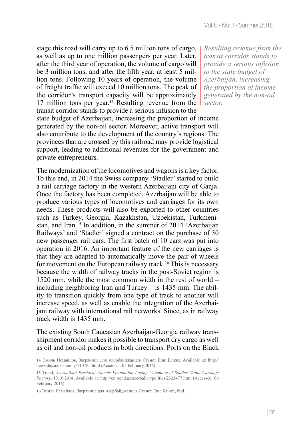stage this road will carry up to 6.5 million tons of cargo, as well as up to one million passengers per year. Later, after the third year of operation, the volume of cargo will be 3 million tons, and after the fifth year, at least 5 million tons. Following 10 years of operation, the volume of freight traffic will exceed 10 million tons. The peak of the corridor's transport capacity will be approximately 17 million tons per year.<sup>14</sup> Resulting revenue from the transit corridor stands to provide a serious infusion to the state budget of Azerbaijan, increasing the proportion of income generated by the non-oil sector. Moreover, active transport will also contribute to the development of the country's regions. The provinces that are crossed by this railroad may provide logistical support, leading to additional revenues for the government and private entrepreneurs.

The modernization of the locomotives and wagons is a key factor. To this end, in 2014 the Swiss company 'Stadler' started to build a rail carriage factory in the western Azerbaijani city of Ganja. Once the factory has been completed, Azerbaijan will be able to produce various types of locomotives and carriages for its own needs. These products will also be exported to other countries such as Turkey, Georgia, Kazakhstan, Uzbekistan, Turkmenistan, and Iran.15 In addition, in the summer of 2014 'Azerbaijan Railways' and 'Stadler' signed a contract on the purchase of 30 new passenger rail cars. The first batch of 10 cars was put into operation in 2016. An important feature of the new carriages is that they are adapted to automatically move the pair of wheels for movement on the European railway track.16 This is necessary because the width of railway tracks in the post-Soviet region is 1520 mm, while the most common width in the rest of world – including neighboring Iran and Turkey – is 1435 mm. The ability to transition quickly from one type of track to another will increase speed, as well as enable the integration of the Azerbaijani railway with international rail networks. Since, as in railway track width is 1435 mm.

The existing South Caucasian Azerbaijan-Georgia railway transshipment corridor makes it possible to transport dry cargo as well as oil and non-oil products in both directions. Ports on the Black

*Resulting revenue from the transit corridor stands to provide a serious infusion to the state budget of Azerbaijan, increasing the proportion of income generated by the non-oil sector.* 

<sup>14</sup> Эмиль Исмайлов, Заграница для Азербайджанцев Станет Еще Ближе, Available at: [http](http://news.day.az/economy/710785.html):// [news.day.az/economy](http://news.day.az/economy/710785.html)/710785.html (Accessed: 05 February.2016).

<sup>15</sup> Trend, *Azerbaijani President Attends Foundation Laying Ceremony of Stadler Ganja Carriage Factory*, 19.10.2014, Available at: <http://en.trend.az/azerbaijan/politics/2323477.html>(Accessed: 06 February 2016).

<sup>16</sup> Эмиль Исмайлов, Заграница для Азербайджанцев Станет Еще Ближе, ibid.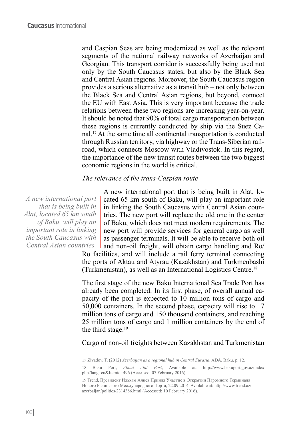and Caspian Seas are being modernized as well as the relevant segments of the national railway networks of Azerbaijan and Georgian. This transport corridor is successfully being used not only by the South Caucasus states, but also by the Black Sea and Central Asian regions. Moreover, the South Caucasus region provides a serious alternative as a transit hub – not only between the Black Sea and Central Asian regions, but beyond, connect the EU with East Asia. This is very important because the trade relations between these two regions are increasing year-on-year. It should be noted that 90% of total cargo transportation between these regions is currently conducted by ship via the Suez Canal.17 At the same time all continental transportation is conducted through Russian territory, via highway or the Trans-Siberian railroad, which connects Moscow with Vladivostok. In this regard, the importance of the new transit routes between the two biggest economic regions in the world is critical.

# *The relevance of the trans-Caspian route*

*A new international port that is being built in Alat, located 65 km south of Baku, will play an important role in linking the South Caucasus with Central Asian countries.* 

A new international port that is being built in Alat, located 65 km south of Baku, will play an important role in linking the South Caucasus with Central Asian countries. The new port will replace the old one in the center of Baku, which does not meet modern requirements. The new port will provide services for general cargo as well as passenger terminals. It will be able to receive both oil and non-oil freight, will obtain cargo handling and Ro/

Ro facilities, and will include a rail ferry terminal connecting the ports of Aktau and Atyrau (Kazakhstan) and Turkmenbashi (Turkmenistan), as well as an International Logistics Centre.18

The first stage of the new Baku International Sea Trade Port has already been completed. In its first phase, of overall annual capacity of the port is expected to 10 million tons of cargo and 50,000 containers. In the second phase, capacity will rise to 17 million tons of cargo and 150 thousand containers, and reaching 25 million tons of cargo and 1 million containers by the end of the third stage. $19$ 

Cargo of non-oil freights between Kazakhstan and Turkmenistan

<sup>17</sup> Ziyadov, T. (2012) *Azerbaijan as a regional hub in Central Eurasia*, ADA, Baku, p. 12.

<sup>18</sup> Baku Port, *About Alat Port*, Available at: [http://www.bakuport.gov.az/index](http://www.bakuport.gov.az/index.php?lang=en&Itemid=496) [php?lang=en&Itemid=496](http://www.bakuport.gov.az/index.php?lang=en&Itemid=496) (Accessed: 07 February 2016).

<sup>19</sup> Trend, Президент Ильхам Алиев Принял Участие в Открытии Паромного Терминала Нового Бакинского Международного Порта, 22.09.2014, Available at: http://[www.trend.az/](http://www.trend.az/azerbaijan/politics/2314386.html) [azerbaijan/politics](http://www.trend.az/azerbaijan/politics/2314386.html)/2314386.html (Accessed: 10 February 2016).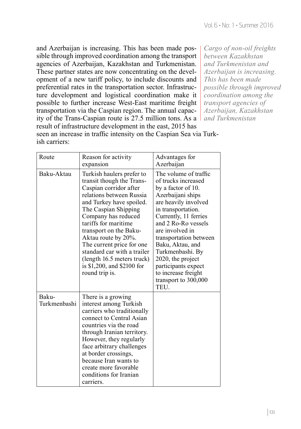and Azerbaijan is increasing. This has been made possible through improved coordination among the transport agencies of Azerbaijan, Kazakhstan and Turkmenistan. These partner states are now concentrating on the development of a new tariff policy, to include discounts and preferential rates in the transportation sector. Infrastructure development and logistical coordination make it possible to further increase West-East maritime freight transportation via the Caspian region. The annual capacity of the Trans-Caspian route is 27.5 million tons. As a result of infrastructure development in the east, 2015 has seen an increase in traffic intensity on the Caspian Sea via Turkish carriers:

*Cargo of non-oil freights between Kazakhstan and Turkmenistan and Azerbaijan is increasing. This has been made possible through improved coordination among the transport agencies of Azerbaijan, Kazakhstan and Turkmenistan*

| Route                 | Reason for activity<br>expansion                                                                                                                                                                                                                                                                                                                                                                           | Advantages for<br>Azerbaijan                                                                                                                                                                                                                                                                                                                                                  |
|-----------------------|------------------------------------------------------------------------------------------------------------------------------------------------------------------------------------------------------------------------------------------------------------------------------------------------------------------------------------------------------------------------------------------------------------|-------------------------------------------------------------------------------------------------------------------------------------------------------------------------------------------------------------------------------------------------------------------------------------------------------------------------------------------------------------------------------|
| Baku-Aktau            | Turkish haulers prefer to<br>transit though the Trans-<br>Caspian corridor after<br>relations between Russia<br>and Turkey have spoiled.<br>The Caspian Shipping<br>Company has reduced<br>tariffs for maritime<br>transport on the Baku-<br>Aktau route by 20%.<br>The current price for one<br>standard car with a trailer<br>(length 16.5 meters truck)<br>is \$1,200, and \$2100 for<br>round trip is. | The volume of traffic<br>of trucks increased<br>by a factor of 10.<br>Azerbaijani ships<br>are heavily involved<br>in transportation.<br>Currently, 11 ferries<br>and 2 Ro-Ro vessels<br>are involved in<br>transportation between<br>Baku, Aktau, and<br>Turkmenbashi. By<br>2020, the project<br>participants expect<br>to increase freight<br>transport to 300,000<br>TEU. |
| Baku-<br>Turkmenbashi | There is a growing<br>interest among Turkish<br>carriers who traditionally<br>connect to Central Asian<br>countries via the road<br>through Iranian territory.<br>However, they regularly<br>face arbitrary challenges<br>at border crossings,<br>because Iran wants to<br>create more favorable<br>conditions for Iranian<br>carriers.                                                                    |                                                                                                                                                                                                                                                                                                                                                                               |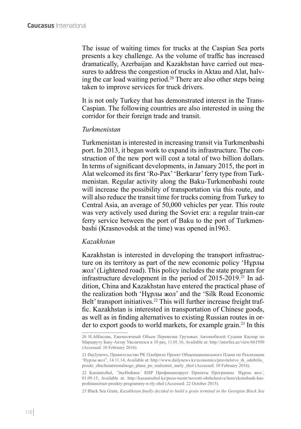The issue of waiting times for trucks at the Caspian Sea ports presents a key challenge. As the volume of traffic has increased dramatically, Azerbaijan and Kazakhstan have carried out measures to address the congestion of trucks in Aktau and Alat, halving the car load waiting period.20 There are also other steps being taken to improve services for truck drivers.

It is not only Turkey that has demonstrated interest in the Trans-Caspian. The following countries are also interested in using the corridor for their foreign trade and transit.

# *Turkmenistan*

Turkmenistan is interested in increasing transit via Turkmenbashi port. In 2013, it began work to expand its infrastructure. The construction of the new port will cost a total of two billion dollars. In terms of significant developments, in January 2015, the port in Alat welcomed its first 'Ro-Pax' 'Berkarar' ferry type from Turkmenistan. Regular activity along the Baku-Turkmenbashi route will increase the possibility of transportation via this route, and will also reduce the transit time for trucks coming from Turkey to Central Asia, an average of 50,000 vehicles per year. This route was very actively used during the Soviet era: a regular train-car ferry service between the port of Baku to the port of Turkmenbashi (Krasnovodsk at the time) was opened in1963.

# *Kazakhstan*

Kazakhstan is interested in developing the transport infrastructure on its territory as part of the new economic policy 'Нұрлы жол' (Lightened road). This policy includes the state program for infrastructure development in the period of 2015-2019.<sup>21</sup> In addition, China and Kazakhstan have entered the practical phase of the realization both 'Нұрлы жол' and the 'Silk Road Economic Belt' transport initiatives.<sup>22</sup> This will further increase freight traffic. Kazakhstan is interested in transportation of Chinese goods, as well as in finding alternatives to existing Russian routes in order to export goods to world markets, for example grain.23 In this

23 Black Sea Grain, *Kazakhstan finally decided to build a grain terminal in the Georgian Black Sea* 

<sup>20</sup> Н.Аббасова, Ежемесячный Объем Перевозки Грузовых Автомобилей Судами Каспар по Маршруту Баку-Актау Увеличился в 10 раз, 11.01.16, Available at: http://[interfax.az/view](http://interfax.az/view/661950)/661950 (Accessed: 10 February 2016).

<sup>21</sup> Daylynews, Правительство РК Одобрило Проект Общенационального Плана по Реализации 'Нурлы жол", 14.11.14, Available at: http://[www.dailynews.kz/economics/pravitelstvo\\_rk\\_odobrilo\\_](http://www.dailynews.kz/economics/pravitelstvo_rk_odobrilo_proekt_obschenatsionalnogo_plana_po_realizatsii_nurly_zhol) [proekt\\_obschenatsionalnogo\\_plana\\_po\\_realizatsii\\_nurly\\_zhol](http://www.dailynews.kz/economics/pravitelstvo_rk_odobrilo_proekt_obschenatsionalnogo_plana_po_realizatsii_nurly_zhol) (Accessed: 10 February 2016).

<sup>22</sup> Kazautozhol, *'*ЭксИмБанк*'* КНР Профинансирует Проекты Программы *'*Нұрлы жол*'*, 01.09.15, Available at: http://[kazautozhol.kz/press-tsentr/novosti-obshchestva/item/eksimbank-knr](http://kazautozhol.kz/press-tsentr/novosti-obshchestva/item/eksimbank-knr-profinansiruet-proekty-programmy-n-rly-zhol)profinansiruet[-proekty-programmy-n-rly-zhol](http://kazautozhol.kz/press-tsentr/novosti-obshchestva/item/eksimbank-knr-profinansiruet-proekty-programmy-n-rly-zhol) (Accessed: 22 October 2015).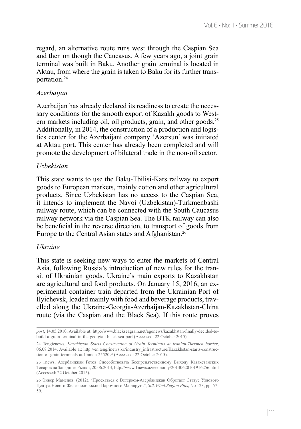regard, an alternative route runs west through the Caspian Sea and then on though the Caucasus. A few years ago, a joint grain terminal was built in Baku. Another grain terminal is located in Aktau, from where the grain is taken to Baku for its further transportation.<sup>24</sup>

# *Azerbaijan*

Azerbaijan has already declared its readiness to create the necessary conditions for the smooth export of Kazakh goods to Western markets including oil, oil products, grain, and other goods.<sup>25</sup> Additionally, in 2014, the construction of a production and logistics center for the Azerbaijani company 'Azersun' was initiated at Aktau port. This center has already been completed and will promote the development of bilateral trade in the non-oil sector.

# *Uzbekistan*

This state wants to use the Baku-Tbilisi-Kars railway to export goods to European markets, mainly cotton and other agricultural products. Since Uzbekistan has no access to the Caspian Sea, it intends to implement the Navoi (Uzbekistan)-Turkmenbashi railway route, which can be connected with the South Caucasus railway network via the Caspian Sea. The BTK railway can also be beneficial in the reverse direction, to transport of goods from Europe to the Central Asian states and Afghanistan.<sup>26</sup>

# *Ukraine*

This state is seeking new ways to enter the markets of Central Asia, following Russia's introduction of new rules for the transit of Ukrainian goods. Ukraine's main exports to Kazakhstan are agricultural and food products. On January 15, 2016, an experimental container train departed from the Ukrainian Port of Ilyichevsk, loaded mainly with food and beverage products, travelled along the Ukraine-Georgia-Azerbaijan-Kazakhstan-China route (via the Caspian and the Black Sea). If this route proves

*port*, 14.05.2010, Available at: [http://www.blackseagrain.net/agonews/kazakhstan-finally-decided-to](http://www.blackseagrain.net/agonews/kazakhstan-finally-decided-to-build-a-grain-terminal-in-the-georgian-black-sea-port)[build-a-grain-terminal-in-the-georgian-black-sea-port](http://www.blackseagrain.net/agonews/kazakhstan-finally-decided-to-build-a-grain-terminal-in-the-georgian-black-sea-port) (Accessed: 22 October 2015).

<sup>24</sup> Tengiznews, *Kazakhstan Starts Construction of Grain Terminals at Iranian-Turkmen border*, 06.08.2014, Available at: http://en.tengrinews.kz/industry\_infrastructure/Kazakhstan-starts-construction-of-grain-terminals-at-Iranian-255209/ (Accessed: 22 October 2015).

<sup>25</sup> 1news, Азербайджан Готов Способствовать Беспрепятственному Выходу Казахстанских Товаров на Западные Рынки, 20.06.2013, http://[www.1news.az/economy](http://www.1news.az/economy/20130620101916256.html)/20130620101916256.html (Accessed: 22 October 2015).

<sup>26</sup> Энвер Мамедов, (2012), 'Проехаться с Ветерком-Азербайджан Обретает Статус Узлового Центра Нового Железнодорожно-Паромного Маршрута", *Silk Wind,Region Plus*, No 123, pp. 57- 59.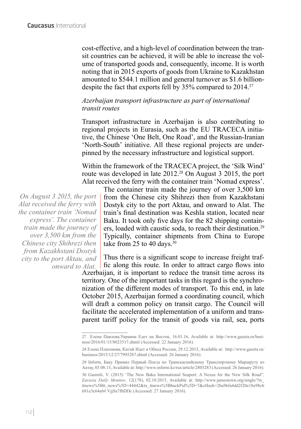cost-effective, and a high-level of coordination between the transit countries can be achieved, it will be able to increase the volume of transported goods and, consequently, income. It is worth noting that in 2015 exports of goods from Ukraine to Kazakhstan amounted to \$544.1 million and general turnover as \$1.6 billiondespite the fact that exports fell by 35% compared to 2014.<sup>27</sup>

# *Azerbaijan transport infrastructure as part of international transit routes*

Transport infrastructure in Azerbaijan is also contributing to regional projects in Eurasia, such as the EU TRACECA initiative, the Chinese 'One Belt, One Road', and the Russian-Iranian 'North-South' initiative. All these regional projects are underpinned by the necessary infrastructure and logistical support.

Within the framework of the TRACECA project, the 'Silk Wind' route was developed in late 2012.<sup>28</sup> On August 3 2015, the port Alat received the ferry with the container train 'Nomad express'.

*On August 3 2015, the port Alat received the ferry with the container train 'Nomad express'. The container train made the journey of over 3,500 km from the Chinese city Shihrezi then from Kazakhstani Dostyk city to the port Aktau, and onward to Alat.* 

The container train made the journey of over 3,500 km from the Chinese city Shihrezi then from Kazakhstani Dostyk city to the port Aktau, and onward to Alat. The train's final destination was Keshla station, located near Baku. It took only five days for the 82 shipping containers, loaded with caustic soda, to reach their destination.29 Typically, container shipments from China to Europe take from 25 to 40 days.<sup>30</sup>

Thus there is a significant scope to increase freight traffic along this route. In order to attract cargo flows into Azerbaijan, it is important to reduce the transit time across its territory. One of the important tasks in this regard is the synchronization of the different modes of transport. To this end, in late October 2015, Azerbaijan formed a coordinating council, which will draft a common policy on transit cargo. The Council will facilitate the accelerated implementation of a uniform and transparent tariff policy for the transit of goods via rail, sea, ports

<sup>27</sup> Елена Павлова,Украина Едет на Восток, 16.01.16, Available at: http://[www.gazeta.ru/busi](http://www.gazeta.ru/business/2016/01/15/8023517.shtml)ness[/2016/01/15/8023517.](http://www.gazeta.ru/business/2016/01/15/8023517.shtml)shtml (Accessed: 22 January 2016).

<sup>28</sup> Елена Платонова, Китай Идет в Обход России, 29.12.2015, Available at: http://[www.gazeta.ru/](http://www.gazeta.ru/business/2015/12/27/7995287.shtml) business[/2015/12/27/7995287.](http://www.gazeta.ru/business/2015/12/27/7995287.shtml)shtml (Accessed: 26 January 2016).

<sup>29</sup> Inform, Баку Принял Первый Поезд по Транскаспийскому Транспортному Маршруту из Актау, 03.08.15, Available at: http://[www.inform.kz/rus/article](http://www.inform.kz/rus/article/2803283)/2803283 (Accessed: 26 January 2016).

<sup>30</sup> Gasimli, V. (2015) 'The New Baku International Seaport: A Nexus for the New Silk Road"*, Eurasia Daily Monitor*, 12(178), 02.10.2015, Available at: http://www.jamestown.org/single/?tx\_ ttnews%5Btt\_news%5D=44442&tx\_ttnews%5BbackPid%5D=7&cHash=2ba96fa4dd2f20e18e98cb 681e3c64e6#.VjjSa7fhDDc (Accessed: 27 January 2016).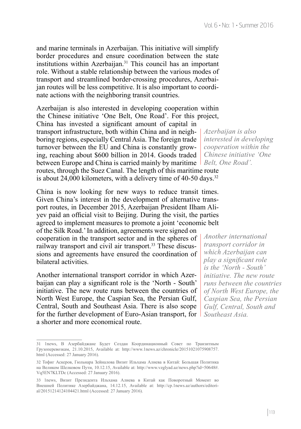and marine terminals in Azerbaijan. This initiative will simplify border procedures and ensure coordination between the state institutions within Azerbaijan.<sup>31</sup> This council has an important role. Without a stable relationship between the various modes of transport and streamlined border-crossing procedures, Azerbaijan routes will be less competitive. It is also important to coordinate actions with the neighboring transit countries.

Azerbaijan is also interested in developing cooperation within the Chinese initiative 'One Belt, One Road'. For this project, China has invested a significant amount of capital in transport infrastructure, both within China and in neighboring regions, especially Central Asia. The foreign trade turnover between the EU and China is constantly growing, reaching about \$600 billion in 2014. Goods traded between Europe and China is carried mainly by maritime *Belt, One Road'.*  routes, through the Suez Canal. The length of this maritime route is about 24,000 kilometers, with a delivery time of 40-50 days.<sup>32</sup>

China is now looking for new ways to reduce transit times. Given China's interest in the development of alternative transport routes, in December 2015, Azerbaijan President Ilham Aliyev paid an official visit to Beijing. During the visit, the parties agreed to implement measures to promote a joint 'economic belt of the Silk Road.' In addition, agreements were signed on cooperation in the transport sector and in the spheres of railway transport and civil air transport.33 These discussions and agreements have ensured the coordination of bilateral activities.

Another international transport corridor in which Azerbaijan can play a significant role is the 'North - South' initiative. The new route runs between the countries of North West Europe, the Caspian Sea, the Persian Gulf, Central, South and Southeast Asia. There is also scope for the further development of Euro-Asian transport, for *Southeast Asia.*  a shorter and more economical route.

*Another international transport corridor in which Azerbaijan can play a significant role is the 'North - South' initiative. The new route runs between the countries of North West Europe, the Caspian Sea, the Persian Gulf, Central, South and* 

*Azerbaijan is also interested in developing cooperation within the Chinese initiative 'One* 

<sup>31</sup> 1news, В Азербайджане Будет Создан Координационный Совет по Транзитным Грузоперевозкам, 21.10.2015, Available at: http://[www.1news.az/chronicle](http://www.1news.az/chronicle/20151021075908757.html)/20151021075908757. [html](http://www.1news.az/chronicle/20151021075908757.html) (Accessed: 27 January 2016).

<sup>32</sup> Тофиг Аскеров, Гюльнара Зейналова Визит Ильхама Алиева в Китай: Большая Политика на Великом Шелковом Пути, 10.12.15, Available at: http://www.vzglyad.az/news.php?id=50648#. Vq5EN7KLTDc (Accessed: 27 January 2016).

<sup>33</sup> 1news, Визит Президента Ильхама Алиева в Китай как Поворотный Момент во Внешней Политике Азербайджана, 14.12.15, Available at: http://[cp.1news.az/authors/editori](http://cp.1news.az/authors/editorial/20151214124104421.html)al[/20151214124104421.](http://cp.1news.az/authors/editorial/20151214124104421.html)html (Accessed: 27 January 2016).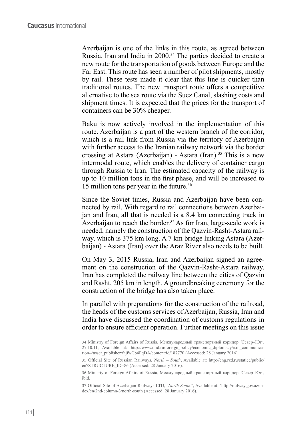Azerbaijan is one of the links in this route, as agreed between Russia, Iran and India in 2000.<sup>34</sup> The parties decided to create a new route for the transportation of goods between Europe and the Far East. This route has seen a number of pilot shipments, mostly by rail. These tests made it clear that this line is quicker than traditional routes. The new transport route offers a competitive alternative to the sea route via the Suez Canal, slashing costs and shipment times. It is expected that the prices for the transport of containers can be 30% cheaper.

Baku is now actively involved in the implementation of this route. Azerbaijan is a part of the western branch of the corridor, which is a rail link from Russia via the territory of Azerbaijan with further access to the Iranian railway network via the border crossing at Astara (Azerbaijan) - Astara (Iran).<sup>35</sup> This is a new intermodal route, which enables the delivery of container cargo through Russia to Iran. The estimated capacity of the railway is up to 10 million tons in the first phase, and will be increased to 15 million tons per year in the future.36

Since the Soviet times, Russia and Azerbaijan have been connected by rail. With regard to rail connections between Azerbaijan and Iran, all that is needed is a 8.4 km connecting track in Azerbaijan to reach the border.<sup>37</sup> As for Iran, large-scale work is needed, namely the construction of the Qazvin-Rasht-Astara railway, which is 375 km long. A 7 km bridge linking Astara (Azerbaijan) - Astara (Iran) over the Araz River also needs to be built.

On May 3, 2015 Russia, Iran and Azerbaijan signed an agreement on the construction of the Qazvin-Rasht-Astara railway. Iran has completed the railway line between the cities of Qazvin and Rasht, 205 km in length. A groundbreaking ceremony for the construction of the bridge has also taken place.

In parallel with preparations for the construction of the railroad, the heads of the customs services of Azerbaijan, Russia, Iran and India have discussed the coordination of customs regulations in order to ensure efficient operation. Further meetings on this issue

<sup>34</sup> Ministry of Foreign Affairs of Russia, Международный транспортный коридор *'*Север*–*Юг*'*, 27.10.11, Available at: [http://www.mid.ru/foreign\\_policy/economic\\_diplomacy/ism\\_communica](http://www.mid.ru/foreign_policy/economic_diplomacy/ism_communication/-/asset_publisher/fajfwCb4PqDA/content/id/187770)[tion/-/asset\\_publisher/fajfwCb4PqDA/content/id/187770](http://www.mid.ru/foreign_policy/economic_diplomacy/ism_communication/-/asset_publisher/fajfwCb4PqDA/content/id/187770) (Accessed: 28 January 2016).

<sup>35</sup> Official Site of Russian Railways, *North – South*, Available at: [http://eng.rzd.ru/statice/public/](http://eng.rzd.ru/statice/public/en?STRUCTURE_ID=86) [en?STRUCTURE\\_ID=86](http://eng.rzd.ru/statice/public/en?STRUCTURE_ID=86) (Accessed: 28 January 2016).

<sup>36</sup> Minisrty of Foreign Affairs of Russia, Международный транспортный коридор *'*Север*–*Юг*'*, ibid.

<sup>37</sup> Official Site of Azerbaijan Railways LTD, *'North-South"*, Available at: 'http://railway.gov.az/index/en/2nd-column-3/north-south (Accessed: 28 January 2016).